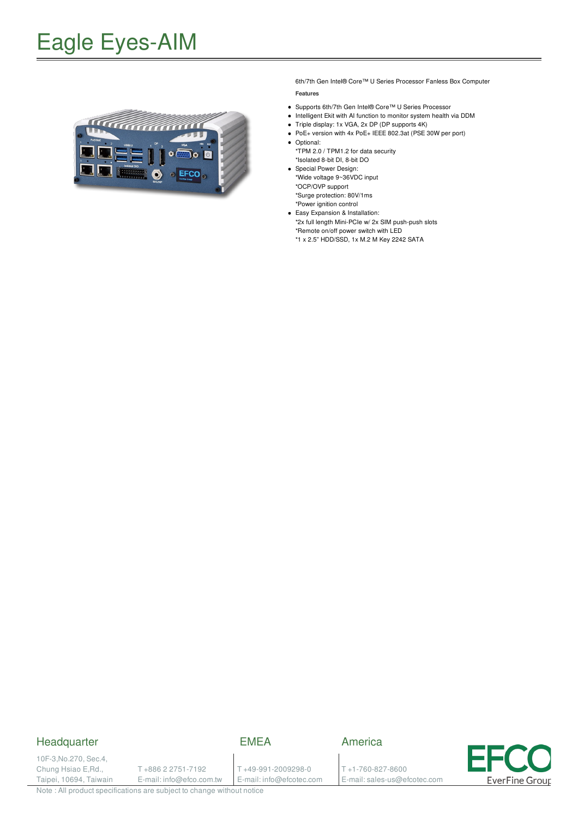

6th/7th Gen Intel® Core™ U Series Processor Fanless Box Computer

#### **Features**

- Supports 6th/7th Gen Intel® Core™ U Series Processor
- Intelligent Ekit with AI function to monitor system health via DDM
- Triple display: 1x VGA, 2x DP (DP supports 4K)
- PoE+ version with 4x PoE+ IEEE 802.3at (PSE 30W per port) • Optional:
- \*TPM 2.0 / TPM1.2 for data security \*Isolated 8-bit DI, 8-bit DO
- Special Power Design: \*Wide voltage 9~36VDC input \*OCP/OVP support \*Surge protection: 80V/1ms
- \*Power ignition control Easy Expansion & Installation:
- \*2x full length Mini-PCIe w/ 2x SIM push-push slots \*Remote on/off power switch with LED
	- \*1 x 2.5" HDD/SSD, 1x M.2 M Key 2242 SATA

#### **Headquarter**

### EMEA

10F-3,No.270, Sec.4, Chung Hsiao E,Rd., Taipei, 10694, Taiwain

T +886 2 2751-7192 E-mail: info@efco.com.tw T +49-991-2009298-0 E-mail: info@efcotec.com America

T +1-760-827-8600 E-mail: sales-us@efcotec.com



Note : All product specifications are subject to change without notice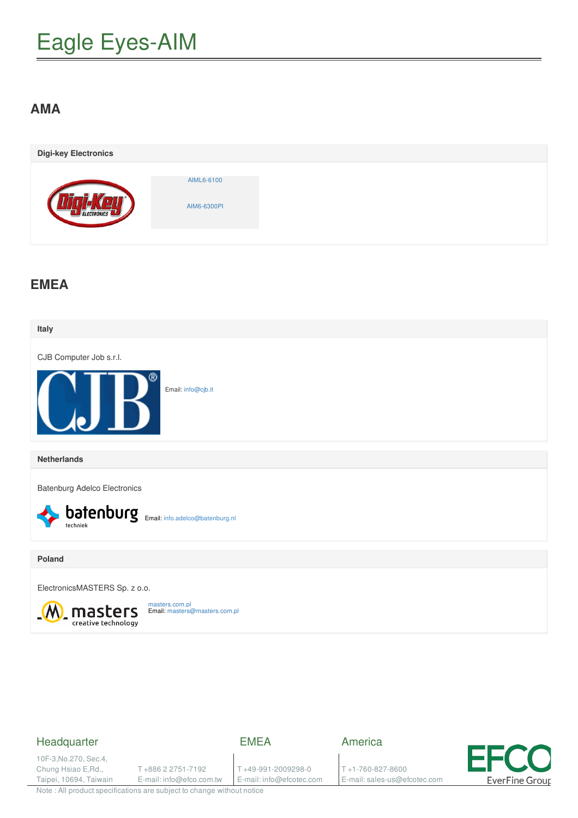### **AMA**

| <b>Digi-key Electronics</b> |                           |  |
|-----------------------------|---------------------------|--|
| ELECTRONICS                 | AIML6-6100<br>AIM6-6300PI |  |

### **EMEA**



### Headquarter

EMEA

10F-3,No.270, Sec.4, Chung Hsiao E,Rd., Taipei, 10694, Taiwain

T +886 2 2751-7192 E-mail: info@efco.com.tw

T +49-991-2009298-0 E-mail: info@efcotec.com America

T +1-760-827-8600 E-mail: sales-us@efcotec.com



Note : All product specifications are subject to change without notice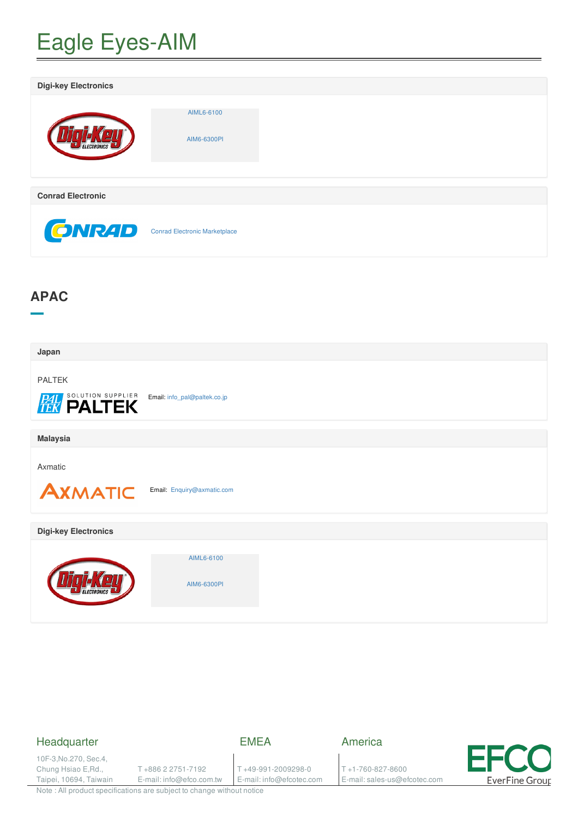| <b>Digi-key Electronics</b> |                               |
|-----------------------------|-------------------------------|
|                             | AIML6-6100<br>AIM6-6300PI     |
| <b>Conrad Electronic</b>    |                               |
| <b>ONRAD</b>                | Conrad Electronic Marketplace |

## **APAC**